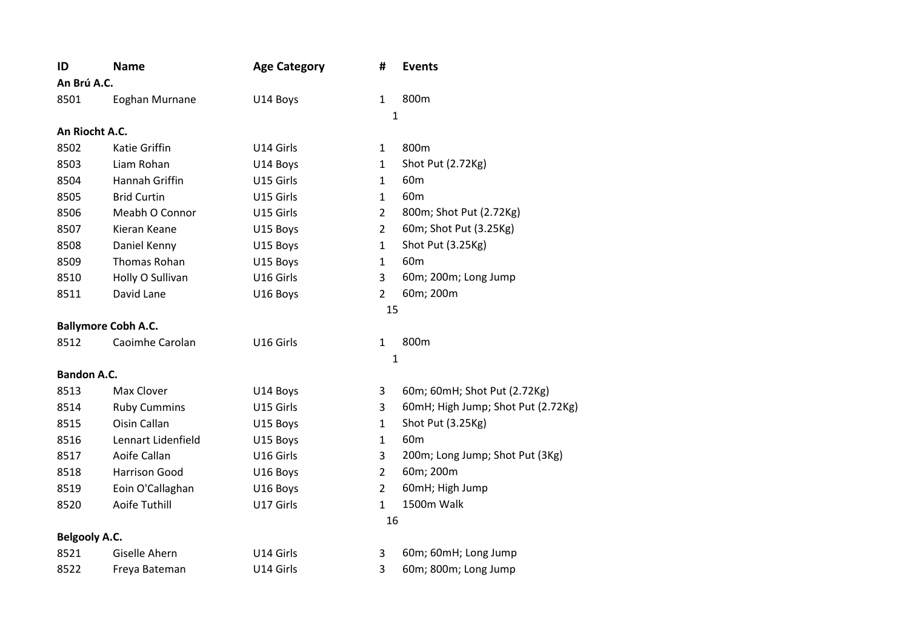| ID                   | <b>Name</b>                | <b>Age Category</b> | #              | <b>Events</b>                      |
|----------------------|----------------------------|---------------------|----------------|------------------------------------|
| An Brú A.C.          |                            |                     |                |                                    |
| 8501                 | Eoghan Murnane             | U14 Boys            | $\mathbf{1}$   | 800m                               |
|                      |                            |                     |                | $\mathbf 1$                        |
| An Riocht A.C.       |                            |                     |                |                                    |
| 8502                 | Katie Griffin              | U14 Girls           | $\mathbf{1}$   | 800m                               |
| 8503                 | Liam Rohan                 | U14 Boys            | 1              | Shot Put (2.72Kg)                  |
| 8504                 | Hannah Griffin             | U15 Girls           | 1              | 60 <sub>m</sub>                    |
| 8505                 | <b>Brid Curtin</b>         | U15 Girls           | $\mathbf{1}$   | 60 <sub>m</sub>                    |
| 8506                 | Meabh O Connor             | U15 Girls           | $\overline{2}$ | 800m; Shot Put (2.72Kg)            |
| 8507                 | Kieran Keane               | U15 Boys            | $\overline{2}$ | 60m; Shot Put (3.25Kg)             |
| 8508                 | Daniel Kenny               | U15 Boys            | $\mathbf{1}$   | Shot Put (3.25Kg)                  |
| 8509                 | Thomas Rohan               | U15 Boys            | $\mathbf{1}$   | 60 <sub>m</sub>                    |
| 8510                 | Holly O Sullivan           | U16 Girls           | 3              | 60m; 200m; Long Jump               |
| 8511                 | David Lane                 | U16 Boys            | $\overline{2}$ | 60m; 200m                          |
|                      |                            |                     | 15             |                                    |
|                      | <b>Ballymore Cobh A.C.</b> |                     |                |                                    |
| 8512                 | Caoimhe Carolan            | U16 Girls           | $\mathbf{1}$   | 800m                               |
|                      |                            |                     |                | $\mathbf{1}$                       |
| <b>Bandon A.C.</b>   |                            |                     |                |                                    |
| 8513                 | Max Clover                 | U14 Boys            | 3              | 60m; 60mH; Shot Put (2.72Kg)       |
| 8514                 | <b>Ruby Cummins</b>        | U15 Girls           | 3              | 60mH; High Jump; Shot Put (2.72Kg) |
| 8515                 | Oisin Callan               | U15 Boys            | $\mathbf{1}$   | Shot Put (3.25Kg)                  |
| 8516                 | Lennart Lidenfield         | U15 Boys            | 1              | 60 <sub>m</sub>                    |
| 8517                 | Aoife Callan               | U16 Girls           | 3              | 200m; Long Jump; Shot Put (3Kg)    |
| 8518                 | <b>Harrison Good</b>       | U16 Boys            | $\overline{2}$ | 60m; 200m                          |
| 8519                 | Eoin O'Callaghan           | U16 Boys            | $\overline{2}$ | 60mH; High Jump                    |
| 8520                 | Aoife Tuthill              | U17 Girls           | 1              | 1500m Walk                         |
|                      |                            |                     | 16             |                                    |
| <b>Belgooly A.C.</b> |                            |                     |                |                                    |
| 8521                 | Giselle Ahern              | U14 Girls           | 3              | 60m; 60mH; Long Jump               |
| 8522                 | Freya Bateman              | U14 Girls           | 3              | 60m; 800m; Long Jump               |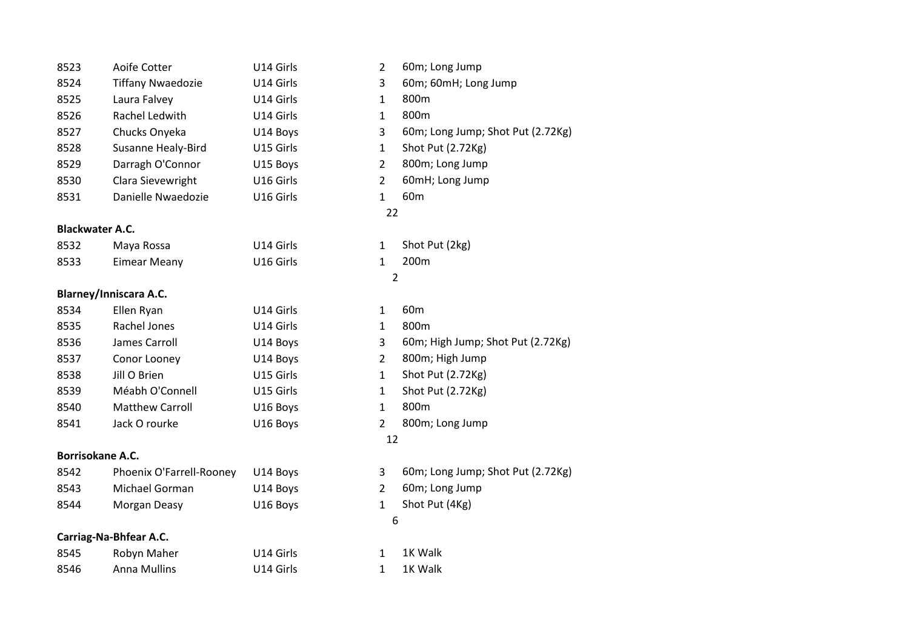| 8523                    | Aoife Cotter                  | U14 Girls | $\overline{2}$ | 60m; Long Jump                    |
|-------------------------|-------------------------------|-----------|----------------|-----------------------------------|
| 8524                    | <b>Tiffany Nwaedozie</b>      | U14 Girls | 3              | 60m; 60mH; Long Jump              |
| 8525                    | Laura Falvey                  | U14 Girls | $\mathbf{1}$   | 800m                              |
| 8526                    | Rachel Ledwith                | U14 Girls | $\mathbf{1}$   | 800m                              |
| 8527                    | Chucks Onyeka                 | U14 Boys  | 3              | 60m; Long Jump; Shot Put (2.72Kg) |
| 8528                    | Susanne Healy-Bird            | U15 Girls | $\mathbf{1}$   | Shot Put (2.72Kg)                 |
| 8529                    | Darragh O'Connor              | U15 Boys  | $\overline{2}$ | 800m; Long Jump                   |
| 8530                    | Clara Sievewright             | U16 Girls | $\overline{2}$ | 60mH; Long Jump                   |
| 8531                    | Danielle Nwaedozie            | U16 Girls | $\mathbf{1}$   | 60 <sub>m</sub>                   |
|                         |                               |           | 22             |                                   |
| <b>Blackwater A.C.</b>  |                               |           |                |                                   |
| 8532                    | Maya Rossa                    | U14 Girls | $\mathbf{1}$   | Shot Put (2kg)                    |
| 8533                    | <b>Eimear Meany</b>           | U16 Girls | $\mathbf{1}$   | 200m                              |
|                         |                               |           |                | $\overline{2}$                    |
|                         | <b>Blarney/Inniscara A.C.</b> |           |                |                                   |
| 8534                    | Ellen Ryan                    | U14 Girls | $\mathbf{1}$   | 60 <sub>m</sub>                   |
| 8535                    | Rachel Jones                  | U14 Girls | $\mathbf{1}$   | 800m                              |
| 8536                    | James Carroll                 | U14 Boys  | 3              | 60m; High Jump; Shot Put (2.72Kg) |
| 8537                    | Conor Looney                  | U14 Boys  | $\overline{2}$ | 800m; High Jump                   |
| 8538                    | Jill O Brien                  | U15 Girls | $\mathbf{1}$   | Shot Put (2.72Kg)                 |
| 8539                    | Méabh O'Connell               | U15 Girls | $\mathbf{1}$   | Shot Put (2.72Kg)                 |
| 8540                    | <b>Matthew Carroll</b>        | U16 Boys  | $\mathbf{1}$   | 800m                              |
| 8541                    | Jack O rourke                 | U16 Boys  | $\overline{2}$ | 800m; Long Jump                   |
|                         |                               |           | 12             |                                   |
| <b>Borrisokane A.C.</b> |                               |           |                |                                   |
| 8542                    | Phoenix O'Farrell-Rooney      | U14 Boys  | 3              | 60m; Long Jump; Shot Put (2.72Kg) |
| 8543                    | Michael Gorman                | U14 Boys  | $\overline{2}$ | 60m; Long Jump                    |
| 8544                    | Morgan Deasy                  | U16 Boys  | $\mathbf{1}$   | Shot Put (4Kg)                    |
|                         |                               |           |                | 6                                 |
|                         | Carriag-Na-Bhfear A.C.        |           |                |                                   |
| 8545                    | Robyn Maher                   | U14 Girls | $\mathbf{1}$   | 1K Walk                           |
| 8546                    | <b>Anna Mullins</b>           | U14 Girls | $\mathbf{1}$   | 1K Walk                           |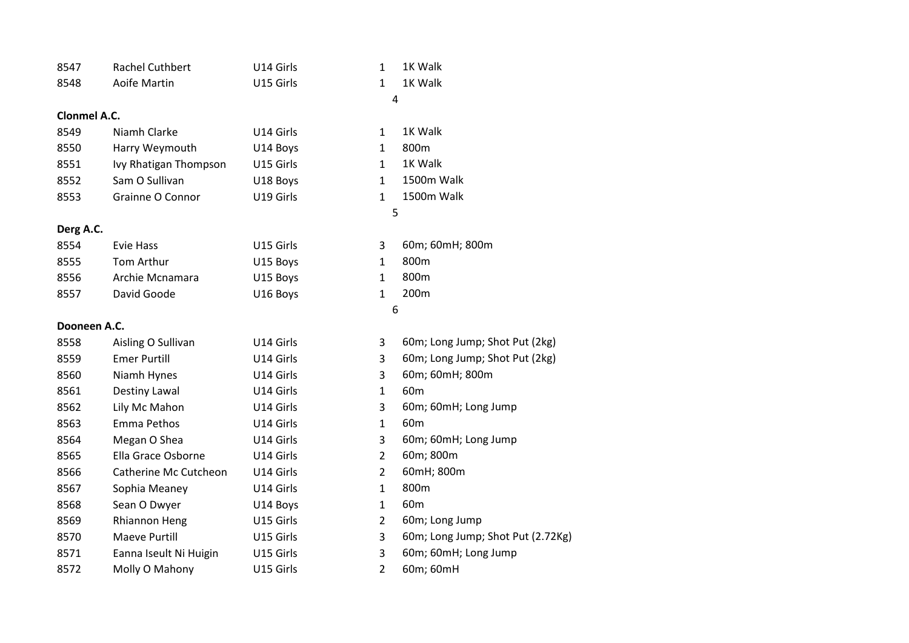| 8547                | <b>Rachel Cuthbert</b> | U14 Girls | $\mathbf{1}$   | 1K Walk                           |
|---------------------|------------------------|-----------|----------------|-----------------------------------|
| 8548                | Aoife Martin           | U15 Girls | 1              | 1K Walk                           |
|                     |                        |           | 4              |                                   |
| <b>Clonmel A.C.</b> |                        |           |                |                                   |
| 8549                | Niamh Clarke           | U14 Girls | 1              | 1K Walk                           |
| 8550                | Harry Weymouth         | U14 Boys  | $\mathbf{1}$   | 800m                              |
| 8551                | Ivy Rhatigan Thompson  | U15 Girls | $\mathbf{1}$   | 1K Walk                           |
| 8552                | Sam O Sullivan         | U18 Boys  | $\mathbf{1}$   | 1500m Walk                        |
| 8553                | Grainne O Connor       | U19 Girls | $\mathbf{1}$   | 1500m Walk                        |
|                     |                        |           | 5              |                                   |
| Derg A.C.           |                        |           |                |                                   |
| 8554                | Evie Hass              | U15 Girls | 3              | 60m; 60mH; 800m                   |
| 8555                | Tom Arthur             | U15 Boys  | 1              | 800m                              |
| 8556                | Archie Mcnamara        | U15 Boys  | $\mathbf{1}$   | 800m                              |
| 8557                | David Goode            | U16 Boys  | $\mathbf{1}$   | 200m                              |
|                     |                        |           | 6              |                                   |
| Dooneen A.C.        |                        |           |                |                                   |
| 8558                | Aisling O Sullivan     | U14 Girls | 3              | 60m; Long Jump; Shot Put (2kg)    |
| 8559                | <b>Emer Purtill</b>    | U14 Girls | 3              | 60m; Long Jump; Shot Put (2kg)    |
| 8560                | Niamh Hynes            | U14 Girls | 3              | 60m; 60mH; 800m                   |
| 8561                | Destiny Lawal          | U14 Girls | $\mathbf{1}$   | 60 <sub>m</sub>                   |
| 8562                | Lily Mc Mahon          | U14 Girls | 3              | 60m; 60mH; Long Jump              |
| 8563                | Emma Pethos            | U14 Girls | $\mathbf{1}$   | 60 <sub>m</sub>                   |
| 8564                | Megan O Shea           | U14 Girls | 3              | 60m; 60mH; Long Jump              |
| 8565                | Ella Grace Osborne     | U14 Girls | $\overline{2}$ | 60m; 800m                         |
| 8566                | Catherine Mc Cutcheon  | U14 Girls | $\overline{2}$ | 60mH; 800m                        |
| 8567                | Sophia Meaney          | U14 Girls | $\mathbf{1}$   | 800m                              |
| 8568                | Sean O Dwyer           | U14 Boys  | $\mathbf 1$    | 60 <sub>m</sub>                   |
| 8569                | Rhiannon Heng          | U15 Girls | $\overline{2}$ | 60m; Long Jump                    |
| 8570                | Maeve Purtill          | U15 Girls | 3              | 60m; Long Jump; Shot Put (2.72Kg) |
| 8571                | Eanna Iseult Ni Huigin | U15 Girls | 3              | 60m; 60mH; Long Jump              |
| 8572                | Molly O Mahony         | U15 Girls | $\overline{2}$ | 60m; 60mH                         |
|                     |                        |           |                |                                   |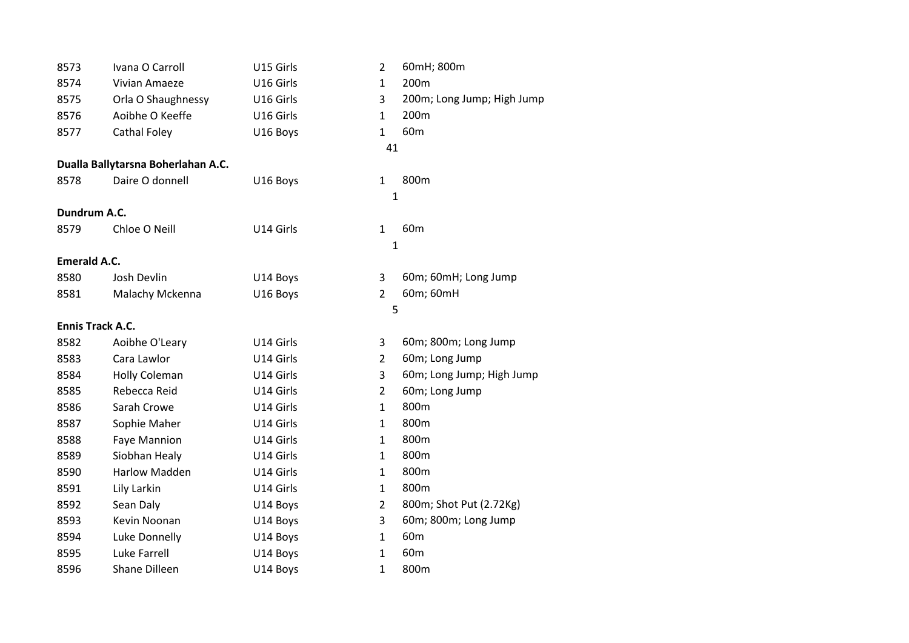| 8573                    | Ivana O Carroll                    | U15 Girls | $\overline{2}$ | 60mH; 800m                 |
|-------------------------|------------------------------------|-----------|----------------|----------------------------|
| 8574                    | <b>Vivian Amaeze</b>               | U16 Girls | $\mathbf{1}$   | 200m                       |
| 8575                    | Orla O Shaughnessy                 | U16 Girls | 3              | 200m; Long Jump; High Jump |
| 8576                    | Aoibhe O Keeffe                    | U16 Girls | $\mathbf{1}$   | 200 <sub>m</sub>           |
| 8577                    | Cathal Foley                       | U16 Boys  | $\mathbf{1}$   | 60 <sub>m</sub>            |
|                         |                                    |           | 41             |                            |
|                         | Dualla Ballytarsna Boherlahan A.C. |           |                |                            |
| 8578                    | Daire O donnell                    | U16 Boys  | $\mathbf{1}$   | 800m                       |
|                         |                                    |           | $\mathbf{1}$   |                            |
| Dundrum A.C.            |                                    |           |                |                            |
| 8579                    | Chloe O Neill                      | U14 Girls | $\mathbf{1}$   | 60 <sub>m</sub>            |
|                         |                                    |           | $\mathbf 1$    |                            |
| <b>Emerald A.C.</b>     |                                    |           |                |                            |
| 8580                    | Josh Devlin                        | U14 Boys  | 3              | 60m; 60mH; Long Jump       |
| 8581                    | Malachy Mckenna                    | U16 Boys  | $\overline{2}$ | 60m; 60mH                  |
|                         |                                    |           | 5              |                            |
| <b>Ennis Track A.C.</b> |                                    |           |                |                            |
| 8582                    | Aoibhe O'Leary                     | U14 Girls | 3              | 60m; 800m; Long Jump       |
| 8583                    | Cara Lawlor                        | U14 Girls | $\overline{2}$ | 60m; Long Jump             |
| 8584                    | <b>Holly Coleman</b>               | U14 Girls | 3              | 60m; Long Jump; High Jump  |
| 8585                    | Rebecca Reid                       | U14 Girls | $\overline{2}$ | 60m; Long Jump             |
| 8586                    | Sarah Crowe                        | U14 Girls | $\mathbf{1}$   | 800m                       |
| 8587                    | Sophie Maher                       | U14 Girls | $\mathbf{1}$   | 800m                       |
| 8588                    | <b>Faye Mannion</b>                | U14 Girls | $\mathbf{1}$   | 800m                       |
| 8589                    | Siobhan Healy                      | U14 Girls | $\mathbf{1}$   | 800m                       |
| 8590                    | <b>Harlow Madden</b>               | U14 Girls | $\mathbf{1}$   | 800m                       |
| 8591                    | Lily Larkin                        | U14 Girls | $\mathbf{1}$   | 800m                       |
| 8592                    | Sean Daly                          | U14 Boys  | $\overline{2}$ | 800m; Shot Put (2.72Kg)    |
| 8593                    | Kevin Noonan                       | U14 Boys  | 3              | 60m; 800m; Long Jump       |
| 8594                    | Luke Donnelly                      | U14 Boys  | $\mathbf{1}$   | 60 <sub>m</sub>            |
| 8595                    | Luke Farrell                       | U14 Boys  | $\mathbf{1}$   | 60 <sub>m</sub>            |
| 8596                    | Shane Dilleen                      | U14 Boys  | $\mathbf{1}$   | 800m                       |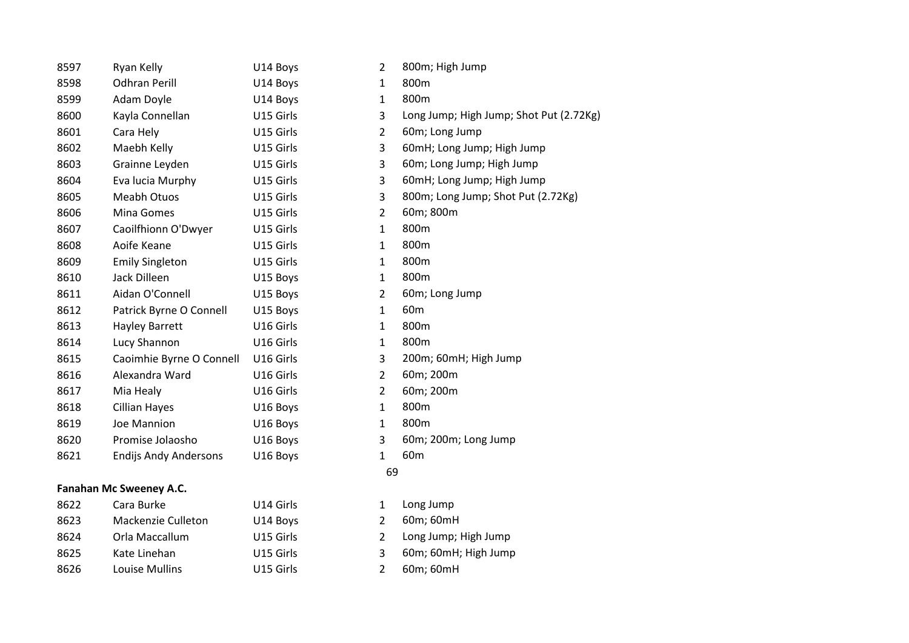| 8597 | Ryan Kelly                   | U14 Boys  | $\overline{2}$ | 800m; High Jump                         |
|------|------------------------------|-----------|----------------|-----------------------------------------|
| 8598 | <b>Odhran Perill</b>         | U14 Boys  | $\mathbf{1}$   | 800m                                    |
| 8599 | Adam Doyle                   | U14 Boys  | $\mathbf{1}$   | 800m                                    |
| 8600 | Kayla Connellan              | U15 Girls | $\overline{3}$ | Long Jump; High Jump; Shot Put (2.72Kg) |
| 8601 | Cara Hely                    | U15 Girls | $\overline{2}$ | 60m; Long Jump                          |
| 8602 | Maebh Kelly                  | U15 Girls | $\overline{3}$ | 60mH; Long Jump; High Jump              |
| 8603 | Grainne Leyden               | U15 Girls | $\overline{3}$ | 60m; Long Jump; High Jump               |
| 8604 | Eva lucia Murphy             | U15 Girls | 3              | 60mH; Long Jump; High Jump              |
| 8605 | Meabh Otuos                  | U15 Girls | $\overline{3}$ | 800m; Long Jump; Shot Put (2.72Kg)      |
| 8606 | Mina Gomes                   | U15 Girls | $\overline{2}$ | 60m; 800m                               |
| 8607 | Caoilfhionn O'Dwyer          | U15 Girls | $\mathbf{1}$   | 800m                                    |
| 8608 | Aoife Keane                  | U15 Girls | $\mathbf{1}$   | 800m                                    |
| 8609 | <b>Emily Singleton</b>       | U15 Girls | $\mathbf{1}$   | 800m                                    |
| 8610 | Jack Dilleen                 | U15 Boys  | $\mathbf{1}$   | 800m                                    |
| 8611 | Aidan O'Connell              | U15 Boys  | $\overline{2}$ | 60m; Long Jump                          |
| 8612 | Patrick Byrne O Connell      | U15 Boys  | $\mathbf{1}$   | 60 <sub>m</sub>                         |
| 8613 | <b>Hayley Barrett</b>        | U16 Girls | 1              | 800m                                    |
| 8614 | Lucy Shannon                 | U16 Girls | $\mathbf{1}$   | 800m                                    |
| 8615 | Caoimhie Byrne O Connell     | U16 Girls | $\overline{3}$ | 200m; 60mH; High Jump                   |
| 8616 | Alexandra Ward               | U16 Girls | $2^{\circ}$    | 60m; 200m                               |
| 8617 | Mia Healy                    | U16 Girls | $\overline{2}$ | 60m; 200m                               |
| 8618 | Cillian Hayes                | U16 Boys  | $\mathbf{1}$   | 800m                                    |
| 8619 | Joe Mannion                  | U16 Boys  | $\mathbf{1}$   | 800m                                    |
| 8620 | Promise Jolaosho             | U16 Boys  | 3              | 60m; 200m; Long Jump                    |
| 8621 | <b>Endijs Andy Andersons</b> | U16 Boys  | $\mathbf{1}$   | 60 <sub>m</sub>                         |
|      |                              |           | 69             |                                         |
|      | Fanahan Mc Sweeney A.C.      |           |                |                                         |
| 8622 | Cara Burke                   | U14 Girls | $\mathbf{1}$   | Long Jump                               |
| 8623 | Mackenzie Culleton           | U14 Boys  | $\overline{2}$ | 60m; 60mH                               |
| 8624 | Orla Maccallum               | U15 Girls | $\overline{2}$ | Long Jump; High Jump                    |
| 8625 | Kate Linehan                 | U15 Girls | 3              | 60m; 60mH; High Jump                    |
| 8626 | Louise Mullins               | U15 Girls | $\overline{2}$ | 60m; 60mH                               |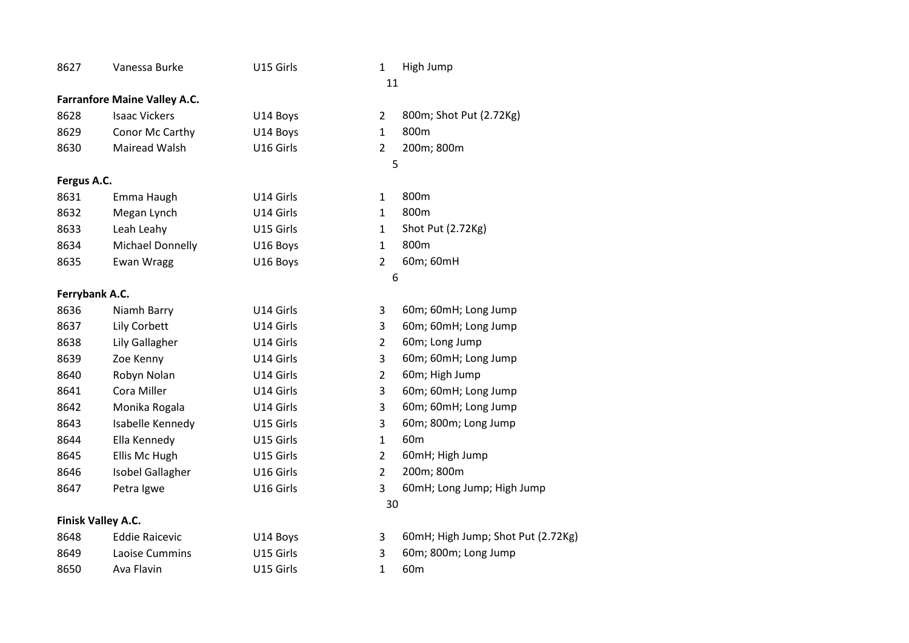| 8627               | Vanessa Burke                       | U15 Girls | 1              | High Jump                          |  |
|--------------------|-------------------------------------|-----------|----------------|------------------------------------|--|
|                    |                                     |           | 11             |                                    |  |
|                    | <b>Farranfore Maine Valley A.C.</b> |           |                |                                    |  |
| 8628               | <b>Isaac Vickers</b>                | U14 Boys  | 2              | 800m; Shot Put (2.72Kg)            |  |
| 8629               | Conor Mc Carthy                     | U14 Boys  | $\mathbf{1}$   | 800m                               |  |
| 8630               | Mairead Walsh                       | U16 Girls | $\overline{2}$ | 200m; 800m                         |  |
|                    |                                     |           | 5              |                                    |  |
| Fergus A.C.        |                                     |           |                |                                    |  |
| 8631               | Emma Haugh                          | U14 Girls | 1              | 800m                               |  |
| 8632               | Megan Lynch                         | U14 Girls | $\mathbf 1$    | 800m                               |  |
| 8633               | Leah Leahy                          | U15 Girls | $\mathbf 1$    | Shot Put (2.72Kg)                  |  |
| 8634               | <b>Michael Donnelly</b>             | U16 Boys  | $\mathbf{1}$   | 800m                               |  |
| 8635               | <b>Ewan Wragg</b>                   | U16 Boys  | $\overline{2}$ | 60m; 60mH                          |  |
|                    |                                     |           | 6              |                                    |  |
| Ferrybank A.C.     |                                     |           |                |                                    |  |
| 8636               | Niamh Barry                         | U14 Girls | 3              | 60m; 60mH; Long Jump               |  |
| 8637               | Lily Corbett                        | U14 Girls | 3              | 60m; 60mH; Long Jump               |  |
| 8638               | Lily Gallagher                      | U14 Girls | $\overline{2}$ | 60m; Long Jump                     |  |
| 8639               | Zoe Kenny                           | U14 Girls | 3              | 60m; 60mH; Long Jump               |  |
| 8640               | Robyn Nolan                         | U14 Girls | $\overline{2}$ | 60m; High Jump                     |  |
| 8641               | Cora Miller                         | U14 Girls | 3              | 60m; 60mH; Long Jump               |  |
| 8642               | Monika Rogala                       | U14 Girls | 3              | 60m; 60mH; Long Jump               |  |
| 8643               | Isabelle Kennedy                    | U15 Girls | 3              | 60m; 800m; Long Jump               |  |
| 8644               | Ella Kennedy                        | U15 Girls | $\mathbf{1}$   | 60 <sub>m</sub>                    |  |
| 8645               | Ellis Mc Hugh                       | U15 Girls | $\overline{2}$ | 60mH; High Jump                    |  |
| 8646               | Isobel Gallagher                    | U16 Girls | $\overline{2}$ | 200m; 800m                         |  |
| 8647               | Petra Igwe                          | U16 Girls | 3              | 60mH; Long Jump; High Jump         |  |
|                    |                                     |           | 30             |                                    |  |
| Finisk Valley A.C. |                                     |           |                |                                    |  |
| 8648               | <b>Eddie Raicevic</b>               | U14 Boys  | 3              | 60mH; High Jump; Shot Put (2.72Kg) |  |
| 8649               | Laoise Cummins                      | U15 Girls | 3              | 60m; 800m; Long Jump               |  |
| 8650               | Ava Flavin                          | U15 Girls | 1              | 60 <sub>m</sub>                    |  |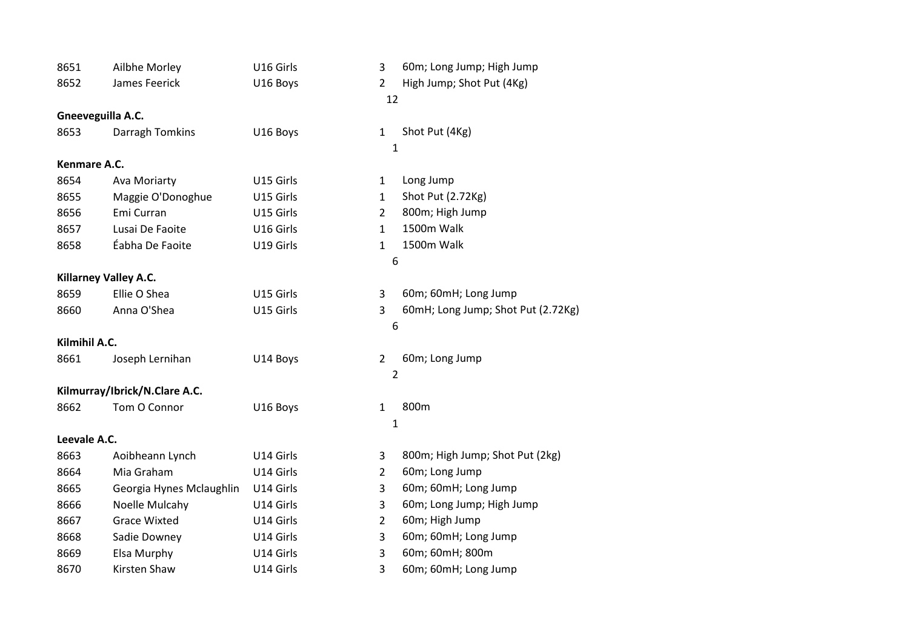| 8651          | Ailbhe Morley                 | U16 Girls | 3              | 60m; Long Jump; High Jump          |
|---------------|-------------------------------|-----------|----------------|------------------------------------|
| 8652          | James Feerick                 | U16 Boys  | $\overline{2}$ | High Jump; Shot Put (4Kg)          |
|               |                               |           | 12             |                                    |
|               | Gneeveguilla A.C.             |           |                |                                    |
| 8653          | Darragh Tomkins               | U16 Boys  | 1              | Shot Put (4Kg)                     |
|               |                               |           | $\mathbf{1}$   |                                    |
| Kenmare A.C.  |                               |           |                |                                    |
| 8654          | Ava Moriarty                  | U15 Girls | 1              | Long Jump                          |
| 8655          | Maggie O'Donoghue             | U15 Girls | $\mathbf{1}$   | Shot Put (2.72Kg)                  |
| 8656          | Emi Curran                    | U15 Girls | $\overline{2}$ | 800m; High Jump                    |
| 8657          | Lusai De Faoite               | U16 Girls | $\mathbf{1}$   | 1500m Walk                         |
| 8658          | Éabha De Faoite               | U19 Girls | $\mathbf{1}$   | 1500m Walk                         |
|               |                               |           | 6              |                                    |
|               | Killarney Valley A.C.         |           |                |                                    |
| 8659          | Ellie O Shea                  | U15 Girls | 3              | 60m; 60mH; Long Jump               |
| 8660          | Anna O'Shea                   | U15 Girls | 3              | 60mH; Long Jump; Shot Put (2.72Kg) |
|               |                               |           | 6              |                                    |
| Kilmihil A.C. |                               |           |                |                                    |
| 8661          | Joseph Lernihan               | U14 Boys  | $\overline{2}$ | 60m; Long Jump                     |
|               |                               |           | $\overline{2}$ |                                    |
|               | Kilmurray/Ibrick/N.Clare A.C. |           |                |                                    |
| 8662          | Tom O Connor                  | U16 Boys  | $\mathbf{1}$   | 800m                               |
|               |                               |           | $\mathbf 1$    |                                    |
| Leevale A.C.  |                               |           |                |                                    |
| 8663          | Aoibheann Lynch               | U14 Girls | 3              | 800m; High Jump; Shot Put (2kg)    |
| 8664          | Mia Graham                    | U14 Girls | $\overline{2}$ | 60m; Long Jump                     |
| 8665          | Georgia Hynes Mclaughlin      | U14 Girls | 3              | 60m; 60mH; Long Jump               |
| 8666          | Noelle Mulcahy                | U14 Girls | 3              | 60m; Long Jump; High Jump          |
| 8667          | <b>Grace Wixted</b>           | U14 Girls | $\overline{2}$ | 60m; High Jump                     |
| 8668          | Sadie Downey                  | U14 Girls | 3              | 60m; 60mH; Long Jump               |
| 8669          | Elsa Murphy                   | U14 Girls | 3              | 60m; 60mH; 800m                    |
| 8670          | Kirsten Shaw                  | U14 Girls | 3              | 60m; 60mH; Long Jump               |
|               |                               |           |                |                                    |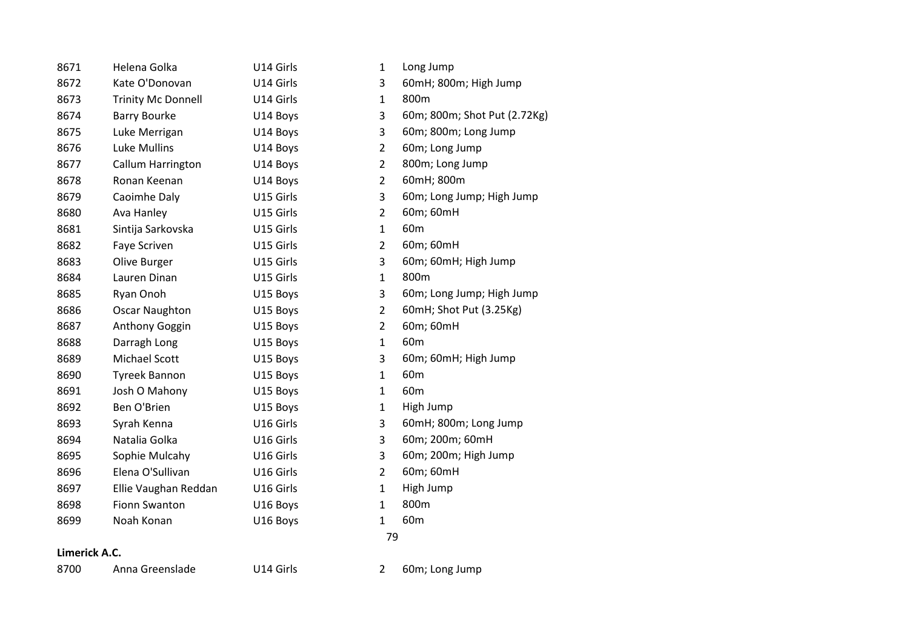| 8671          | Helena Golka              | U14 Girls | $\mathbf{1}$   | Long Jump                    |
|---------------|---------------------------|-----------|----------------|------------------------------|
| 8672          | Kate O'Donovan            | U14 Girls | 3              | 60mH; 800m; High Jump        |
| 8673          | <b>Trinity Mc Donnell</b> | U14 Girls | $\mathbf{1}$   | 800m                         |
| 8674          | <b>Barry Bourke</b>       | U14 Boys  | 3              | 60m; 800m; Shot Put (2.72Kg) |
| 8675          | Luke Merrigan             | U14 Boys  | 3              | 60m; 800m; Long Jump         |
| 8676          | <b>Luke Mullins</b>       | U14 Boys  | $\overline{2}$ | 60m; Long Jump               |
| 8677          | Callum Harrington         | U14 Boys  | $\overline{2}$ | 800m; Long Jump              |
| 8678          | Ronan Keenan              | U14 Boys  | $\overline{2}$ | 60mH; 800m                   |
| 8679          | Caoimhe Daly              | U15 Girls | 3              | 60m; Long Jump; High Jump    |
| 8680          | Ava Hanley                | U15 Girls | $\overline{2}$ | 60m; 60mH                    |
| 8681          | Sintija Sarkovska         | U15 Girls | $\mathbf{1}$   | 60 <sub>m</sub>              |
| 8682          | Faye Scriven              | U15 Girls | $\overline{2}$ | 60m; 60mH                    |
| 8683          | Olive Burger              | U15 Girls | 3              | 60m; 60mH; High Jump         |
| 8684          | Lauren Dinan              | U15 Girls | $\mathbf{1}$   | 800m                         |
| 8685          | Ryan Onoh                 | U15 Boys  | 3              | 60m; Long Jump; High Jump    |
| 8686          | <b>Oscar Naughton</b>     | U15 Boys  | $\overline{2}$ | 60mH; Shot Put (3.25Kg)      |
| 8687          | Anthony Goggin            | U15 Boys  | $\overline{2}$ | 60m; 60mH                    |
| 8688          | Darragh Long              | U15 Boys  | $\mathbf{1}$   | 60 <sub>m</sub>              |
| 8689          | Michael Scott             | U15 Boys  | 3              | 60m; 60mH; High Jump         |
| 8690          | <b>Tyreek Bannon</b>      | U15 Boys  | $\mathbf 1$    | 60 <sub>m</sub>              |
| 8691          | Josh O Mahony             | U15 Boys  | $\mathbf{1}$   | 60 <sub>m</sub>              |
| 8692          | Ben O'Brien               | U15 Boys  | $\mathbf{1}$   | High Jump                    |
| 8693          | Syrah Kenna               | U16 Girls | 3              | 60mH; 800m; Long Jump        |
| 8694          | Natalia Golka             | U16 Girls | 3              | 60m; 200m; 60mH              |
| 8695          | Sophie Mulcahy            | U16 Girls | 3              | 60m; 200m; High Jump         |
| 8696          | Elena O'Sullivan          | U16 Girls | $\overline{2}$ | 60m; 60mH                    |
| 8697          | Ellie Vaughan Reddan      | U16 Girls | $\mathbf{1}$   | High Jump                    |
| 8698          | Fionn Swanton             | U16 Boys  | $\mathbf{1}$   | 800m                         |
| 8699          | Noah Konan                | U16 Boys  | $\mathbf{1}$   | 60 <sub>m</sub>              |
|               |                           |           | 79             |                              |
| Limerick A.C. |                           |           |                |                              |
| 8700          | Anna Greenslade           | U14 Girls | $\overline{2}$ | 60m; Long Jump               |
|               |                           |           |                |                              |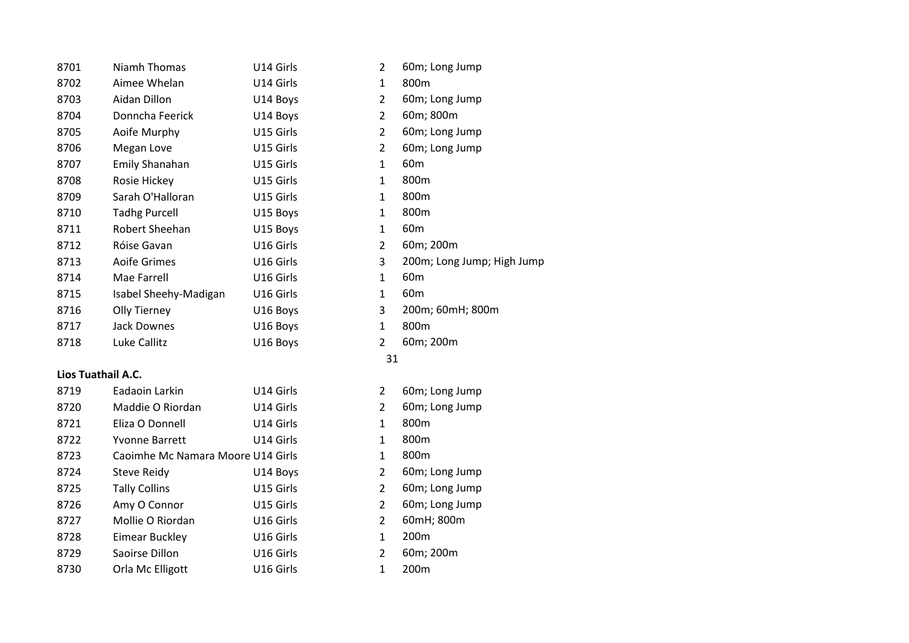| 8701               | Niamh Thomas                      | U14 Girls | $\overline{2}$ | 60m; Long Jump             |
|--------------------|-----------------------------------|-----------|----------------|----------------------------|
| 8702               | Aimee Whelan                      | U14 Girls | $\mathbf{1}$   | 800m                       |
| 8703               | Aidan Dillon                      | U14 Boys  | $\overline{2}$ | 60m; Long Jump             |
| 8704               | Donncha Feerick                   | U14 Boys  | $\overline{2}$ | 60m; 800m                  |
| 8705               | Aoife Murphy                      | U15 Girls | $\overline{2}$ | 60m; Long Jump             |
| 8706               | Megan Love                        | U15 Girls | $\overline{2}$ | 60m; Long Jump             |
| 8707               | Emily Shanahan                    | U15 Girls | $\mathbf{1}$   | 60 <sub>m</sub>            |
| 8708               | Rosie Hickey                      | U15 Girls | $\mathbf{1}$   | 800m                       |
| 8709               | Sarah O'Halloran                  | U15 Girls | $\mathbf{1}$   | 800m                       |
| 8710               | <b>Tadhg Purcell</b>              | U15 Boys  | $\mathbf{1}$   | 800m                       |
| 8711               | Robert Sheehan                    | U15 Boys  | $\mathbf{1}$   | 60 <sub>m</sub>            |
| 8712               | Róise Gavan                       | U16 Girls | $\overline{2}$ | 60m; 200m                  |
| 8713               | Aoife Grimes                      | U16 Girls | 3              | 200m; Long Jump; High Jump |
| 8714               | Mae Farrell                       | U16 Girls | $\mathbf{1}$   | 60 <sub>m</sub>            |
| 8715               | Isabel Sheehy-Madigan             | U16 Girls | $\mathbf{1}$   | 60 <sub>m</sub>            |
| 8716               | Olly Tierney                      | U16 Boys  | 3              | 200m; 60mH; 800m           |
| 8717               | <b>Jack Downes</b>                | U16 Boys  | $\mathbf{1}$   | 800m                       |
| 8718               | Luke Callitz                      | U16 Boys  | $\overline{2}$ | 60m; 200m                  |
|                    |                                   |           | 31             |                            |
| Lios Tuathail A.C. |                                   |           |                |                            |
| 8719               | Eadaoin Larkin                    | U14 Girls | $\overline{2}$ | 60m; Long Jump             |
| 8720               | Maddie O Riordan                  | U14 Girls | $\overline{2}$ | 60m; Long Jump             |
| 8721               | Eliza O Donnell                   | U14 Girls | $\mathbf{1}$   | 800m                       |
| 8722               | <b>Yvonne Barrett</b>             | U14 Girls | $\mathbf{1}$   | 800m                       |
| 8723               | Caoimhe Mc Namara Moore U14 Girls |           | $\mathbf{1}$   | 800m                       |
| 8724               | <b>Steve Reidy</b>                | U14 Boys  | $\overline{2}$ | 60m; Long Jump             |
| 8725               | <b>Tally Collins</b>              | U15 Girls | $\overline{2}$ | 60m; Long Jump             |
| 8726               | Amy O Connor                      | U15 Girls | $\overline{2}$ | 60m; Long Jump             |
| 8727               | Mollie O Riordan                  | U16 Girls | $\overline{2}$ | 60mH; 800m                 |
| 8728               | <b>Eimear Buckley</b>             | U16 Girls | $\mathbf{1}$   | 200m                       |
| 8729               | Saoirse Dillon                    | U16 Girls | $\overline{2}$ | 60m; 200m                  |
| 8730               | Orla Mc Elligott                  | U16 Girls | $\mathbf{1}$   | 200m                       |
|                    |                                   |           |                |                            |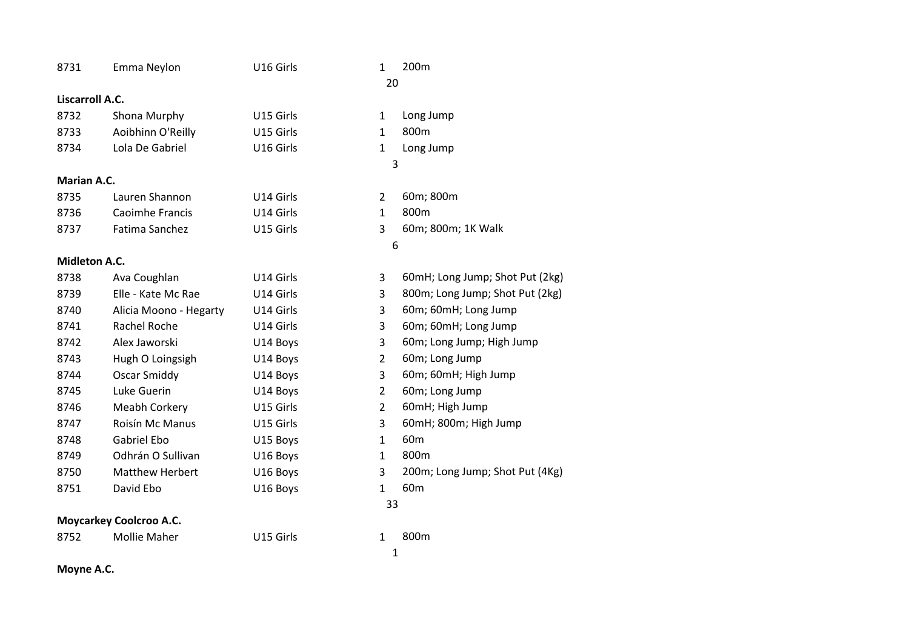| 8731               | Emma Neylon                    | U16 Girls | $\mathbf{1}$   | 200m                            |
|--------------------|--------------------------------|-----------|----------------|---------------------------------|
|                    |                                |           | 20             |                                 |
| Liscarroll A.C.    |                                |           |                |                                 |
| 8732               | Shona Murphy                   | U15 Girls | 1              | Long Jump                       |
| 8733               | Aoibhinn O'Reilly              | U15 Girls | $\mathbf{1}$   | 800m                            |
| 8734               | Lola De Gabriel                | U16 Girls | 1              | Long Jump                       |
|                    |                                |           | 3              |                                 |
| <b>Marian A.C.</b> |                                |           |                |                                 |
| 8735               | Lauren Shannon                 | U14 Girls | $\overline{2}$ | 60m; 800m                       |
| 8736               | Caoimhe Francis                | U14 Girls | $\mathbf{1}$   | 800m                            |
| 8737               | Fatima Sanchez                 | U15 Girls | 3              | 60m; 800m; 1K Walk              |
|                    |                                |           | 6              |                                 |
| Midleton A.C.      |                                |           |                |                                 |
| 8738               | Ava Coughlan                   | U14 Girls | 3              | 60mH; Long Jump; Shot Put (2kg) |
| 8739               | Elle - Kate Mc Rae             | U14 Girls | 3              | 800m; Long Jump; Shot Put (2kg) |
| 8740               | Alicia Moono - Hegarty         | U14 Girls | 3              | 60m; 60mH; Long Jump            |
| 8741               | Rachel Roche                   | U14 Girls | 3              | 60m; 60mH; Long Jump            |
| 8742               | Alex Jaworski                  | U14 Boys  | 3              | 60m; Long Jump; High Jump       |
| 8743               | Hugh O Loingsigh               | U14 Boys  | $\overline{2}$ | 60m; Long Jump                  |
| 8744               | <b>Oscar Smiddy</b>            | U14 Boys  | 3              | 60m; 60mH; High Jump            |
| 8745               | Luke Guerin                    | U14 Boys  | $\overline{2}$ | 60m; Long Jump                  |
| 8746               | Meabh Corkery                  | U15 Girls | $\overline{2}$ | 60mH; High Jump                 |
| 8747               | Roisín Mc Manus                | U15 Girls | 3              | 60mH; 800m; High Jump           |
| 8748               | <b>Gabriel Ebo</b>             | U15 Boys  | $\mathbf{1}$   | 60 <sub>m</sub>                 |
| 8749               | Odhrán O Sullivan              | U16 Boys  | $\mathbf 1$    | 800m                            |
| 8750               | <b>Matthew Herbert</b>         | U16 Boys  | 3              | 200m; Long Jump; Shot Put (4Kg) |
| 8751               | David Ebo                      | U16 Boys  | $\mathbf{1}$   | 60 <sub>m</sub>                 |
|                    |                                |           | 33             |                                 |
|                    | <b>Moycarkey Coolcroo A.C.</b> |           |                |                                 |
| 8752               | <b>Mollie Maher</b>            | U15 Girls | 1              | 800m                            |
|                    |                                |           | $\mathbf 1$    |                                 |

## **Moyne A.C.**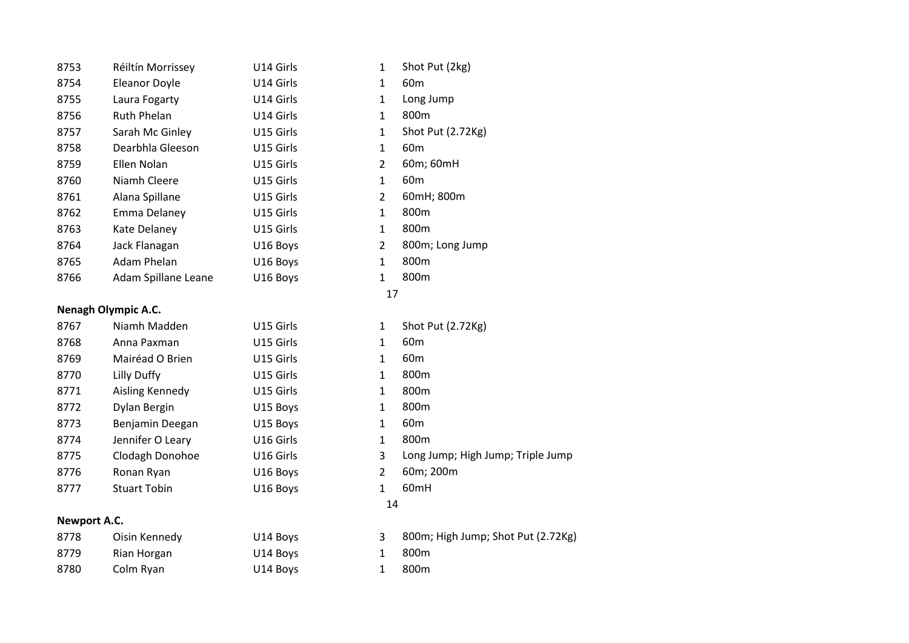| 8753                       | Réiltín Morrissey    | U14 Girls | $\mathbf{1}$   | Shot Put (2kg)                     |  |  |
|----------------------------|----------------------|-----------|----------------|------------------------------------|--|--|
| 8754                       | <b>Eleanor Doyle</b> | U14 Girls | 1              | 60 <sub>m</sub>                    |  |  |
| 8755                       | Laura Fogarty        | U14 Girls | 1              | Long Jump                          |  |  |
| 8756                       | Ruth Phelan          | U14 Girls | $\mathbf{1}$   | 800m                               |  |  |
| 8757                       | Sarah Mc Ginley      | U15 Girls | $\mathbf{1}$   | Shot Put (2.72Kg)                  |  |  |
| 8758                       | Dearbhla Gleeson     | U15 Girls | $\mathbf{1}$   | 60 <sub>m</sub>                    |  |  |
| 8759                       | Ellen Nolan          | U15 Girls | $\overline{2}$ | 60m; 60mH                          |  |  |
| 8760                       | Niamh Cleere         | U15 Girls | $\mathbf{1}$   | 60 <sub>m</sub>                    |  |  |
| 8761                       | Alana Spillane       | U15 Girls | $\overline{2}$ | 60mH; 800m                         |  |  |
| 8762                       | Emma Delaney         | U15 Girls | $\mathbf{1}$   | 800m                               |  |  |
| 8763                       | Kate Delaney         | U15 Girls | $\mathbf{1}$   | 800m                               |  |  |
| 8764                       | Jack Flanagan        | U16 Boys  | $\overline{2}$ | 800m; Long Jump                    |  |  |
| 8765                       | Adam Phelan          | U16 Boys  | $\mathbf{1}$   | 800m                               |  |  |
| 8766                       | Adam Spillane Leane  | U16 Boys  | $\mathbf{1}$   | 800m                               |  |  |
|                            |                      |           | 17             |                                    |  |  |
| <b>Nenagh Olympic A.C.</b> |                      |           |                |                                    |  |  |
| 8767                       | Niamh Madden         | U15 Girls | $\mathbf{1}$   | Shot Put (2.72Kg)                  |  |  |
| 8768                       | Anna Paxman          | U15 Girls | $\mathbf{1}$   | 60 <sub>m</sub>                    |  |  |
| 8769                       | Mairéad O Brien      | U15 Girls | $\mathbf{1}$   | 60 <sub>m</sub>                    |  |  |
| 8770                       | Lilly Duffy          | U15 Girls | 1              | 800m                               |  |  |
| 8771                       | Aisling Kennedy      | U15 Girls | $\mathbf{1}$   | 800m                               |  |  |
| 8772                       | Dylan Bergin         | U15 Boys  | $\mathbf{1}$   | 800m                               |  |  |
| 8773                       | Benjamin Deegan      | U15 Boys  | $\mathbf{1}$   | 60 <sub>m</sub>                    |  |  |
| 8774                       | Jennifer O Leary     | U16 Girls | $\mathbf{1}$   | 800m                               |  |  |
| 8775                       | Clodagh Donohoe      | U16 Girls | 3              | Long Jump; High Jump; Triple Jump  |  |  |
| 8776                       | Ronan Ryan           | U16 Boys  | $\overline{2}$ | 60m; 200m                          |  |  |
| 8777                       | <b>Stuart Tobin</b>  | U16 Boys  | $\mathbf{1}$   | 60mH                               |  |  |
|                            |                      |           | 14             |                                    |  |  |
| Newport A.C.               |                      |           |                |                                    |  |  |
| 8778                       | Oisin Kennedy        | U14 Boys  | 3              | 800m; High Jump; Shot Put (2.72Kg) |  |  |
| 8779                       | Rian Horgan          | U14 Boys  | 1              | 800m                               |  |  |
| 8780                       | Colm Ryan            | U14 Boys  | 1              | 800m                               |  |  |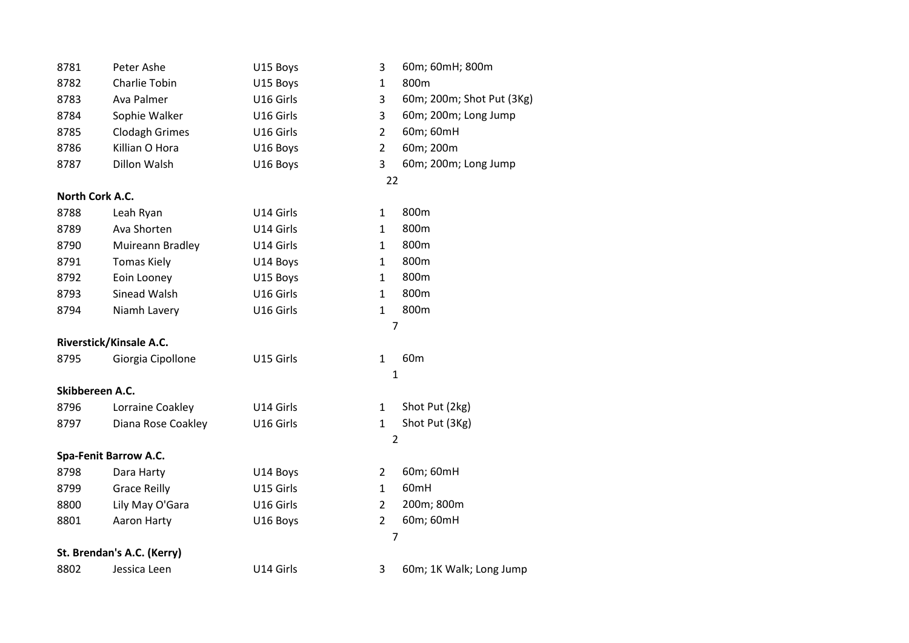| 8781            | Peter Ashe                 | U15 Boys  | 3              | 60m; 60mH; 800m           |
|-----------------|----------------------------|-----------|----------------|---------------------------|
| 8782            | Charlie Tobin              | U15 Boys  | $\mathbf{1}$   | 800m                      |
| 8783            | Ava Palmer                 | U16 Girls | 3              | 60m; 200m; Shot Put (3Kg) |
| 8784            | Sophie Walker              | U16 Girls | $\overline{3}$ | 60m; 200m; Long Jump      |
| 8785            | <b>Clodagh Grimes</b>      | U16 Girls | $\overline{2}$ | 60m; 60mH                 |
| 8786            | Killian O Hora             | U16 Boys  | $\overline{2}$ | 60m; 200m                 |
| 8787            | Dillon Walsh               | U16 Boys  | $\overline{3}$ | 60m; 200m; Long Jump      |
|                 |                            |           | 22             |                           |
| North Cork A.C. |                            |           |                |                           |
| 8788            | Leah Ryan                  | U14 Girls | $\mathbf{1}$   | 800m                      |
| 8789            | Ava Shorten                | U14 Girls | $\mathbf{1}$   | 800m                      |
| 8790            | Muireann Bradley           | U14 Girls | $\mathbf{1}$   | 800m                      |
| 8791            | <b>Tomas Kiely</b>         | U14 Boys  | $\mathbf{1}$   | 800m                      |
| 8792            | Eoin Looney                | U15 Boys  | $\mathbf{1}$   | 800m                      |
| 8793            | Sinead Walsh               | U16 Girls | $\mathbf{1}$   | 800m                      |
| 8794            | Niamh Lavery               | U16 Girls | $\mathbf{1}$   | 800m                      |
|                 |                            |           | 7              |                           |
|                 | Riverstick/Kinsale A.C.    |           |                |                           |
| 8795            | Giorgia Cipollone          | U15 Girls | $\mathbf{1}$   | 60 <sub>m</sub>           |
|                 |                            |           | $\mathbf{1}$   |                           |
| Skibbereen A.C. |                            |           |                |                           |
| 8796            | Lorraine Coakley           | U14 Girls | $\mathbf{1}$   | Shot Put (2kg)            |
| 8797            | Diana Rose Coakley         | U16 Girls | $\mathbf{1}$   | Shot Put (3Kg)            |
|                 |                            |           | $\overline{2}$ |                           |
|                 | Spa-Fenit Barrow A.C.      |           |                |                           |
| 8798            | Dara Harty                 | U14 Boys  | $\overline{2}$ | 60m; 60mH                 |
| 8799            | <b>Grace Reilly</b>        | U15 Girls | $\mathbf{1}$   | 60mH                      |
| 8800            | Lily May O'Gara            | U16 Girls | $\overline{2}$ | 200m; 800m                |
| 8801            | Aaron Harty                | U16 Boys  | $\overline{2}$ | 60m; 60mH                 |
|                 |                            |           | $\overline{7}$ |                           |
|                 | St. Brendan's A.C. (Kerry) |           |                |                           |
| 8802            | Jessica Leen               | U14 Girls | 3              | 60m; 1K Walk; Long Jump   |
|                 |                            |           |                |                           |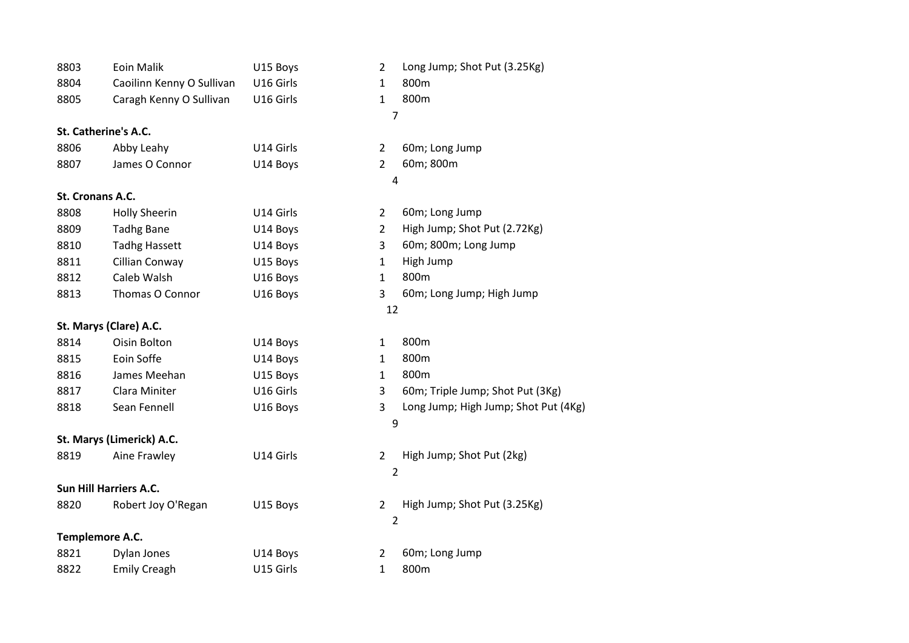| 8803                 | Eoin Malik                | U15 Boys  | $\overline{2}$ | Long Jump; Shot Put (3.25Kg)         |  |  |  |
|----------------------|---------------------------|-----------|----------------|--------------------------------------|--|--|--|
| 8804                 | Caoilinn Kenny O Sullivan | U16 Girls | $\mathbf{1}$   | 800m                                 |  |  |  |
| 8805                 | Caragh Kenny O Sullivan   | U16 Girls | $\mathbf{1}$   | 800m                                 |  |  |  |
|                      |                           |           | $\overline{7}$ |                                      |  |  |  |
| St. Catherine's A.C. |                           |           |                |                                      |  |  |  |
| 8806                 | Abby Leahy                | U14 Girls | $\overline{2}$ | 60m; Long Jump                       |  |  |  |
| 8807                 | James O Connor            | U14 Boys  | $\overline{2}$ | 60m; 800m                            |  |  |  |
|                      |                           |           | 4              |                                      |  |  |  |
| St. Cronans A.C.     |                           |           |                |                                      |  |  |  |
| 8808                 | <b>Holly Sheerin</b>      | U14 Girls | $\overline{2}$ | 60m; Long Jump                       |  |  |  |
| 8809                 | <b>Tadhg Bane</b>         | U14 Boys  | $\overline{2}$ | High Jump; Shot Put (2.72Kg)         |  |  |  |
| 8810                 | <b>Tadhg Hassett</b>      | U14 Boys  | 3              | 60m; 800m; Long Jump                 |  |  |  |
| 8811                 | Cillian Conway            | U15 Boys  | $\mathbf{1}$   | High Jump                            |  |  |  |
| 8812                 | Caleb Walsh               | U16 Boys  | $\mathbf{1}$   | 800m                                 |  |  |  |
| 8813                 | Thomas O Connor           | U16 Boys  | 3              | 60m; Long Jump; High Jump            |  |  |  |
|                      |                           |           | 12             |                                      |  |  |  |
|                      | St. Marys (Clare) A.C.    |           |                |                                      |  |  |  |
| 8814                 | Oisin Bolton              | U14 Boys  | $\mathbf{1}$   | 800m                                 |  |  |  |
| 8815                 | Eoin Soffe                | U14 Boys  | $\mathbf{1}$   | 800m                                 |  |  |  |
| 8816                 | James Meehan              | U15 Boys  | $\mathbf{1}$   | 800m                                 |  |  |  |
| 8817                 | Clara Miniter             | U16 Girls | 3              | 60m; Triple Jump; Shot Put (3Kg)     |  |  |  |
| 8818                 | Sean Fennell              | U16 Boys  | 3              | Long Jump; High Jump; Shot Put (4Kg) |  |  |  |
|                      |                           |           | 9              |                                      |  |  |  |
|                      | St. Marys (Limerick) A.C. |           |                |                                      |  |  |  |
| 8819                 | Aine Frawley              | U14 Girls | $\overline{2}$ | High Jump; Shot Put (2kg)            |  |  |  |
|                      |                           |           | $\overline{2}$ |                                      |  |  |  |
|                      | Sun Hill Harriers A.C.    |           |                |                                      |  |  |  |
| 8820                 | Robert Joy O'Regan        | U15 Boys  | $\overline{2}$ | High Jump; Shot Put (3.25Kg)         |  |  |  |
|                      |                           |           | $\overline{2}$ |                                      |  |  |  |
| Templemore A.C.      |                           |           |                |                                      |  |  |  |
| 8821                 | Dylan Jones               | U14 Boys  | $\overline{2}$ | 60m; Long Jump                       |  |  |  |
| 8822                 | <b>Emily Creagh</b>       | U15 Girls | 1              | 800m                                 |  |  |  |
|                      |                           |           |                |                                      |  |  |  |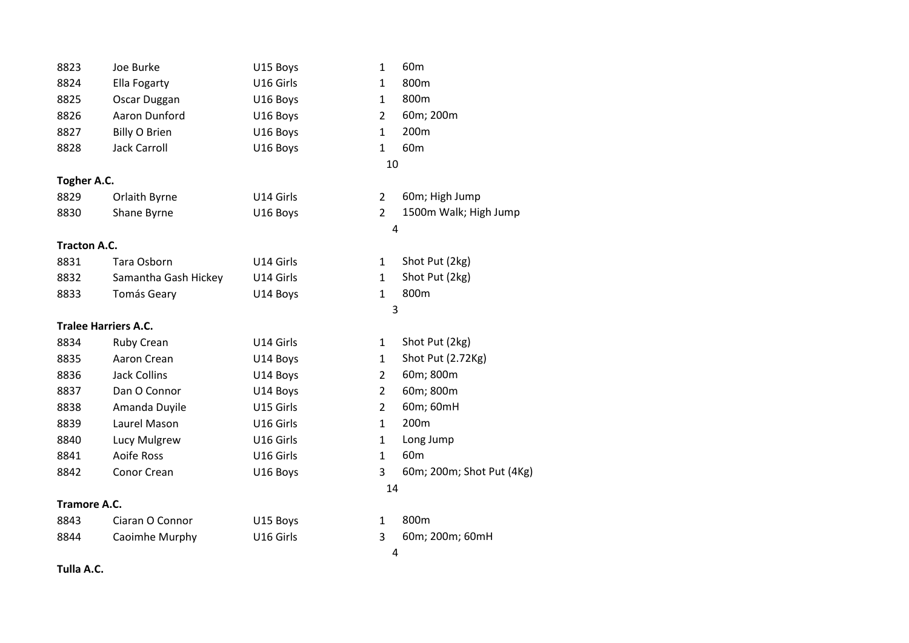| 8823                | Joe Burke                   | U15 Boys  | $\mathbf{1}$   | 60 <sub>m</sub>           |
|---------------------|-----------------------------|-----------|----------------|---------------------------|
| 8824                | Ella Fogarty                | U16 Girls | $\mathbf{1}$   | 800m                      |
| 8825                | Oscar Duggan                | U16 Boys  | $\mathbf{1}$   | 800m                      |
| 8826                | Aaron Dunford               | U16 Boys  | $\overline{2}$ | 60m; 200m                 |
| 8827                | <b>Billy O Brien</b>        | U16 Boys  | $\mathbf{1}$   | 200m                      |
| 8828                | <b>Jack Carroll</b>         | U16 Boys  | $\mathbf{1}$   | 60 <sub>m</sub>           |
|                     |                             |           | 10             |                           |
| Togher A.C.         |                             |           |                |                           |
| 8829                | Orlaith Byrne               | U14 Girls | $\overline{2}$ | 60m; High Jump            |
| 8830                | Shane Byrne                 | U16 Boys  | $\overline{2}$ | 1500m Walk; High Jump     |
|                     |                             |           | 4              |                           |
| <b>Tracton A.C.</b> |                             |           |                |                           |
| 8831                | Tara Osborn                 | U14 Girls | $\mathbf{1}$   | Shot Put (2kg)            |
| 8832                | Samantha Gash Hickey        | U14 Girls | $\mathbf{1}$   | Shot Put (2kg)            |
| 8833                | <b>Tomás Geary</b>          | U14 Boys  | $\mathbf{1}$   | 800m                      |
|                     |                             |           | 3              |                           |
|                     | <b>Tralee Harriers A.C.</b> |           |                |                           |
| 8834                | Ruby Crean                  | U14 Girls | $\mathbf{1}$   | Shot Put (2kg)            |
| 8835                | Aaron Crean                 | U14 Boys  | $\mathbf{1}$   | Shot Put (2.72Kg)         |
| 8836                | <b>Jack Collins</b>         | U14 Boys  | $\overline{2}$ | 60m; 800m                 |
| 8837                | Dan O Connor                | U14 Boys  | $\overline{2}$ | 60m; 800m                 |
| 8838                | Amanda Duyile               | U15 Girls | $\overline{2}$ | 60m; 60mH                 |
| 8839                | Laurel Mason                | U16 Girls | $\mathbf{1}$   | 200m                      |
| 8840                | Lucy Mulgrew                | U16 Girls | $\mathbf{1}$   | Long Jump                 |
| 8841                | <b>Aoife Ross</b>           | U16 Girls | $\mathbf{1}$   | 60 <sub>m</sub>           |
| 8842                | Conor Crean                 | U16 Boys  | 3              | 60m; 200m; Shot Put (4Kg) |
|                     |                             |           | 14             |                           |
| <b>Tramore A.C.</b> |                             |           |                |                           |
| 8843                | Ciaran O Connor             | U15 Boys  | $\mathbf{1}$   | 800m                      |
| 8844                | Caoimhe Murphy              | U16 Girls | 3              | 60m; 200m; 60mH           |
|                     |                             |           | 4              |                           |
|                     |                             |           |                |                           |

**Tulla A.C.**